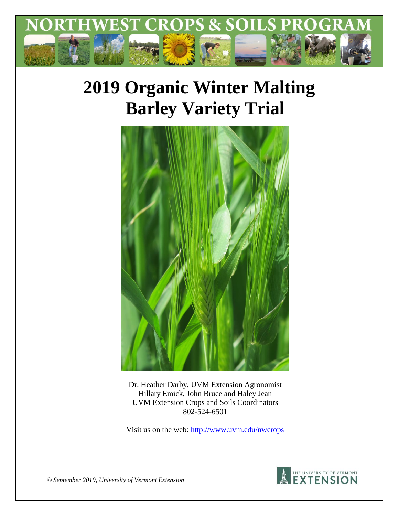

# **2019 Organic Winter Malting Barley Variety Trial**



Dr. Heather Darby, UVM Extension Agronomist Hillary Emick, John Bruce and Haley Jean UVM Extension Crops and Soils Coordinators 802-524-6501

Visit us on the web:<http://www.uvm.edu/nwcrops>



*© September 2019, University of Vermont Extension*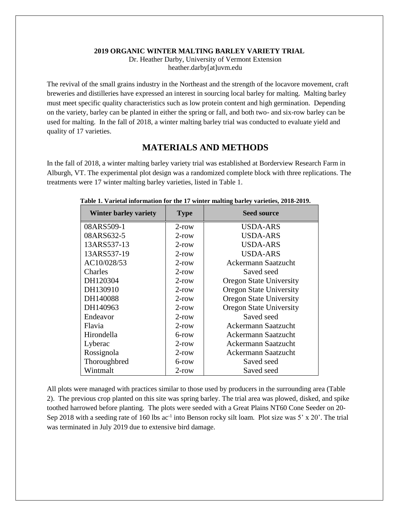#### **2019 ORGANIC WINTER MALTING BARLEY VARIETY TRIAL**

Dr. Heather Darby, University of Vermont Extension heather.darby[at]uvm.edu

The revival of the small grains industry in the Northeast and the strength of the locavore movement, craft breweries and distilleries have expressed an interest in sourcing local barley for malting. Malting barley must meet specific quality characteristics such as low protein content and high germination. Depending on the variety, barley can be planted in either the spring or fall, and both two- and six-row barley can be used for malting. In the fall of 2018, a winter malting barley trial was conducted to evaluate yield and quality of 17 varieties.

## **MATERIALS AND METHODS**

In the fall of 2018, a winter malting barley variety trial was established at Borderview Research Farm in Alburgh, VT. The experimental plot design was a randomized complete block with three replications. The treatments were 17 winter malting barley varieties, listed in Table 1.

| <b>Winter barley variety</b> | <b>Type</b> | <b>Seed source</b>             |  |
|------------------------------|-------------|--------------------------------|--|
| 08ARS509-1                   | $2$ -row    | USDA-ARS                       |  |
| 08ARS632-5                   | $2$ -row    | <b>USDA-ARS</b>                |  |
| 13ARS537-13                  | $2$ -row    | <b>USDA-ARS</b>                |  |
| 13ARS537-19                  | $2$ -row    | <b>USDA-ARS</b>                |  |
| AC10/028/53                  | $2$ -row    | <b>Ackermann Saatzucht</b>     |  |
| Charles                      | $2$ -row    | Saved seed                     |  |
| DH120304                     | $2$ -row    | <b>Oregon State University</b> |  |
| DH130910                     | $2$ -row    | <b>Oregon State University</b> |  |
| DH140088                     | $2$ -row    | <b>Oregon State University</b> |  |
| DH140963                     | $2$ -row    | <b>Oregon State University</b> |  |
| Endeavor                     | $2$ -row    | Saved seed                     |  |
| Flavia                       | $2$ -row    | <b>Ackermann Saatzucht</b>     |  |
| Hirondella                   | 6-row       | Ackermann Saatzucht            |  |
| Lyberac                      | $2$ -row    | <b>Ackermann Saatzucht</b>     |  |
| Rossignola                   | $2$ -row    | Ackermann Saatzucht            |  |
| Thoroughbred                 | 6-row       | Saved seed                     |  |
| Wintmalt                     | $2$ -row    | Saved seed                     |  |

#### **Table 1. Varietal information for the 17 winter malting barley varieties, 2018-2019.**

All plots were managed with practices similar to those used by producers in the surrounding area (Table 2). The previous crop planted on this site was spring barley. The trial area was plowed, disked, and spike toothed harrowed before planting. The plots were seeded with a Great Plains NT60 Cone Seeder on 20- Sep 2018 with a seeding rate of 160 lbs ac<sup>-1</sup> into Benson rocky silt loam. Plot size was 5' x 20'. The trial was terminated in July 2019 due to extensive bird damage.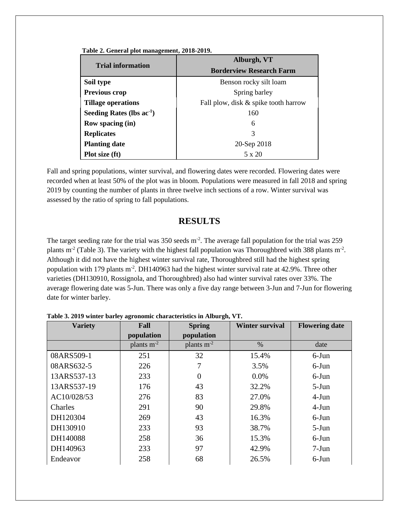| Table 2. General plot management, 2018-2019. |  |  |  |  |
|----------------------------------------------|--|--|--|--|
|----------------------------------------------|--|--|--|--|

|                                | Alburgh, VT                          |  |  |
|--------------------------------|--------------------------------------|--|--|
| <b>Trial information</b>       | <b>Borderview Research Farm</b>      |  |  |
| Soil type                      | Benson rocky silt loam               |  |  |
| Previous crop                  | Spring barley                        |  |  |
| <b>Tillage operations</b>      | Fall plow, disk & spike tooth harrow |  |  |
| Seeding Rates (lbs $ac^{-1}$ ) | 160                                  |  |  |
| <b>Row spacing (in)</b>        | 6                                    |  |  |
| <b>Replicates</b>              | 3                                    |  |  |
| <b>Planting date</b>           | 20-Sep 2018                          |  |  |
| Plot size (ft)                 | $5 \times 20$                        |  |  |

Fall and spring populations, winter survival, and flowering dates were recorded. Flowering dates were recorded when at least 50% of the plot was in bloom. Populations were measured in fall 2018 and spring 2019 by counting the number of plants in three twelve inch sections of a row. Winter survival was assessed by the ratio of spring to fall populations.

## **RESULTS**

The target seeding rate for the trial was  $350$  seeds m<sup>-2</sup>. The average fall population for the trial was  $259$ plants  $m<sup>2</sup>$  (Table 3). The variety with the highest fall population was Thoroughbred with 388 plants  $m<sup>2</sup>$ . Although it did not have the highest winter survival rate, Thoroughbred still had the highest spring population with 179 plants m<sup>-2</sup>. DH140963 had the highest winter survival rate at 42.9%. Three other varieties (DH130910, Rossignola, and Thoroughbred) also had winter survival rates over 33%. The average flowering date was 5-Jun. There was only a five day range between 3-Jun and 7-Jun for flowering date for winter barley.

| <b>Variety</b> | Fall            | <b>Spring</b>   | <b>Winter survival</b> | <b>Flowering date</b> |
|----------------|-----------------|-----------------|------------------------|-----------------------|
|                | population      | population      |                        |                       |
|                | plants $m^{-2}$ | plants $m^{-2}$ | $\%$                   | date                  |
| 08ARS509-1     | 251             | 32              | 15.4%                  | $6$ -Jun              |
| 08ARS632-5     | 226             |                 | 3.5%                   | $6$ -Jun              |
| 13ARS537-13    | 233             | 0               | $0.0\%$                | $6$ -Jun              |
| 13ARS537-19    | 176             | 43              | 32.2%                  | $5-Jun$               |
| AC10/028/53    | 276             | 83              | 27.0%                  | $4-Jun$               |
| Charles        | 291             | 90              | 29.8%                  | $4-Jun$               |
| DH120304       | 269             | 43              | 16.3%                  | $6$ -Jun              |
| DH130910       | 233             | 93              | 38.7%                  | $5-Jun$               |
| DH140088       | 258             | 36              | 15.3%                  | $6$ -Jun              |
| DH140963       | 233             | 97              | 42.9%                  | $7-Jun$               |
| Endeavor       | 258             | 68              | 26.5%                  | $6$ -Jun              |

**Table 3. 2019 winter barley agronomic characteristics in Alburgh, VT.**